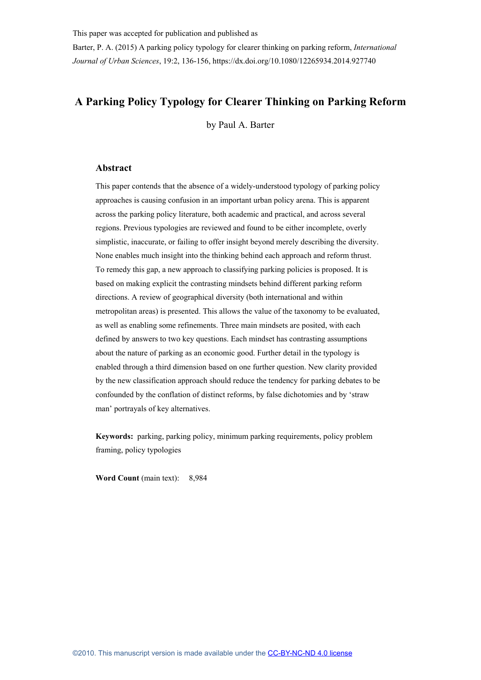Barter, P. A. (2015) A parking policy typology for clearer thinking on parking reform, *International Journal of Urban Sciences*, 19:2, 136-156, https://dx.doi.org/10.1080/12265934.2014.927740

# **A Parking Policy Typology for Clearer Thinking on Parking Reform**

by Paul A. Barter

### **Abstract**

This paper contends that the absence of a widely-understood typology of parking policy approaches is causing confusion in an important urban policy arena. This is apparent across the parking policy literature, both academic and practical, and across several regions. Previous typologies are reviewed and found to be either incomplete, overly simplistic, inaccurate, or failing to offer insight beyond merely describing the diversity. None enables much insight into the thinking behind each approach and reform thrust. To remedy this gap, a new approach to classifying parking policies is proposed. It is based on making explicit the contrasting mindsets behind different parking reform directions. A review of geographical diversity (both international and within metropolitan areas) is presented. This allows the value of the taxonomy to be evaluated, as well as enabling some refinements. Three main mindsets are posited, with each defined by answers to two key questions. Each mindset has contrasting assumptions about the nature of parking as an economic good. Further detail in the typology is enabled through a third dimension based on one further question. New clarity provided by the new classification approach should reduce the tendency for parking debates to be confounded by the conflation of distinct reforms, by false dichotomies and by 'straw man' portrayals of key alternatives.

**Keywords:** parking, parking policy, minimum parking requirements, policy problem framing, policy typologies

**Word Count** (main text): 8,984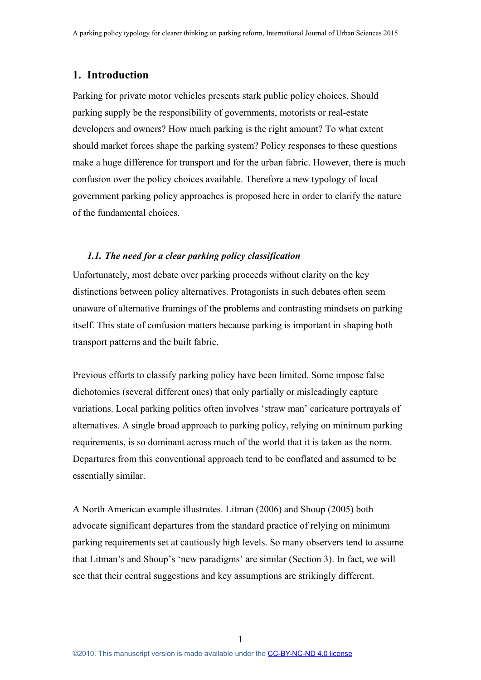# **1. Introduction**

Parking for private motor vehicles presents stark public policy choices. Should parking supply be the responsibility of governments, motorists or real-estate developers and owners? How much parking is the right amount? To what extent should market forces shape the parking system? Policy responses to these questions make a huge difference for transport and for the urban fabric. However, there is much confusion over the policy choices available. Therefore a new typology of local government parking policy approaches is proposed here in order to clarify the nature of the fundamental choices.

# *1.1. The need for a clear parking policy classification*

Unfortunately, most debate over parking proceeds without clarity on the key distinctions between policy alternatives. Protagonists in such debates often seem unaware of alternative framings of the problems and contrasting mindsets on parking itself. This state of confusion matters because parking is important in shaping both transport patterns and the built fabric.

Previous efforts to classify parking policy have been limited. Some impose false dichotomies (several different ones) that only partially or misleadingly capture variations. Local parking politics often involves 'straw man' caricature portrayals of alternatives. A single broad approach to parking policy, relying on minimum parking requirements, is so dominant across much of the world that it is taken as the norm. Departures from this conventional approach tend to be conflated and assumed to be essentially similar.

A North American example illustrates. Litman (2006) and Shoup (2005) both advocate significant departures from the standard practice of relying on minimum parking requirements set at cautiously high levels. So many observers tend to assume that Litman's and Shoup's 'new paradigms' are similar (Section [3\)](#page-8-0). In fact, we will see that their central suggestions and key assumptions are strikingly different.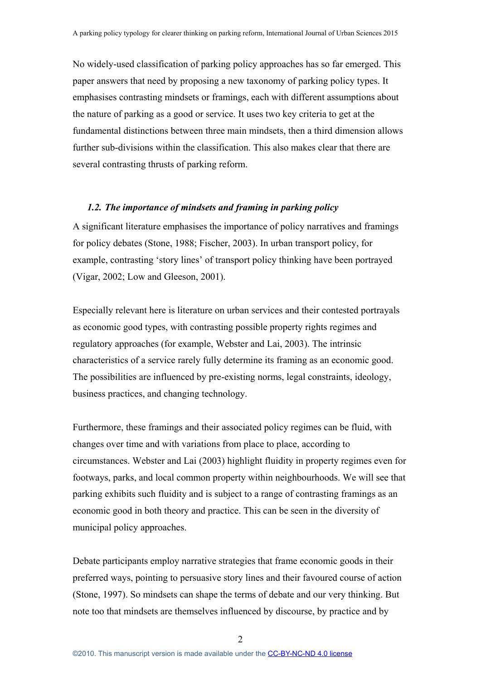No widely-used classification of parking policy approaches has so far emerged. This paper answers that need by proposing a new taxonomy of parking policy types. It emphasises contrasting mindsets or framings, each with different assumptions about the nature of parking as a good or service. It uses two key criteria to get at the fundamental distinctions between three main mindsets, then a third dimension allows further sub-divisions within the classification. This also makes clear that there are several contrasting thrusts of parking reform.

# *1.2. The importance of mindsets and framing in parking policy*

A significant literature emphasises the importance of policy narratives and framings for policy debates (Stone, 1988; Fischer, 2003). In urban transport policy, for example, contrasting 'story lines' of transport policy thinking have been portrayed (Vigar, 2002; Low and Gleeson, 2001).

Especially relevant here is literature on urban services and their contested portrayals as economic good types, with contrasting possible property rights regimes and regulatory approaches (for example, Webster and Lai, 2003). The intrinsic characteristics of a service rarely fully determine its framing as an economic good. The possibilities are influenced by pre-existing norms, legal constraints, ideology, business practices, and changing technology.

Furthermore, these framings and their associated policy regimes can be fluid, with changes over time and with variations from place to place, according to circumstances. Webster and Lai (2003) highlight fluidity in property regimes even for footways, parks, and local common property within neighbourhoods. We will see that parking exhibits such fluidity and is subject to a range of contrasting framings as an economic good in both theory and practice. This can be seen in the diversity of municipal policy approaches.

Debate participants employ narrative strategies that frame economic goods in their preferred ways, pointing to persuasive story lines and their favoured course of action (Stone, 1997). So mindsets can shape the terms of debate and our very thinking. But note too that mindsets are themselves influenced by discourse, by practice and by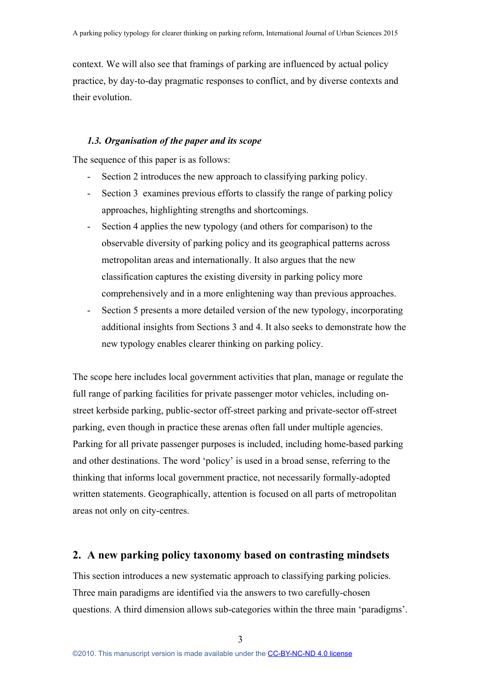context. We will also see that framings of parking are influenced by actual policy practice, by day-to-day pragmatic responses to conflict, and by diverse contexts and their evolution.

## *1.3. Organisation of the paper and its scope*

The sequence of this paper is as follows:

- Section 2 introduces the new approach to classifying parking policy.
- Section 3 examines previous efforts to classify the range of parking policy approaches, highlighting strengths and shortcomings.
- Section 4 applies the new typology (and others for comparison) to the observable diversity of parking policy and its geographical patterns across metropolitan areas and internationally. It also argues that the new classification captures the existing diversity in parking policy more comprehensively and in a more enlightening way than previous approaches.
- Section 5 presents a more detailed version of the new typology, incorporating additional insights from Sections 3 and 4. It also seeks to demonstrate how the new typology enables clearer thinking on parking policy.

The scope here includes local government activities that plan, manage or regulate the full range of parking facilities for private passenger motor vehicles, including onstreet kerbside parking, public-sector off-street parking and private-sector off-street parking, even though in practice these arenas often fall under multiple agencies. Parking for all private passenger purposes is included, including home-based parking and other destinations. The word 'policy' is used in a broad sense, referring to the thinking that informs local government practice, not necessarily formally-adopted written statements. Geographically, attention is focused on all parts of metropolitan areas not only on city-centres.

# **2. A new parking policy taxonomy based on contrasting mindsets**

This section introduces a new systematic approach to classifying parking policies. Three main paradigms are identified via the answers to two carefully-chosen questions. A third dimension allows sub-categories within the three main 'paradigms'.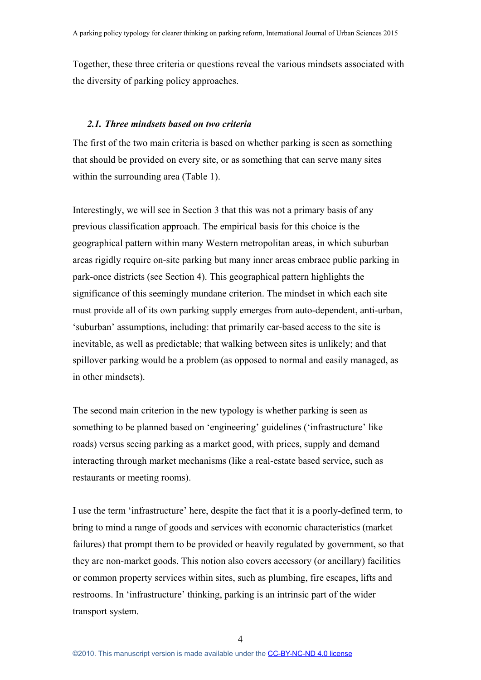Together, these three criteria or questions reveal the various mindsets associated with the diversity of parking policy approaches.

### *2.1. Three mindsets based on two criteria*

The first of the two main criteria is based on whether parking is seen as something that should be provided on every site, or as something that can serve many sites within the surrounding area (Table 1).

Interestingly, we will see in Section 3 that this was not a primary basis of any previous classification approach. The empirical basis for this choice is the geographical pattern within many Western metropolitan areas, in which suburban areas rigidly require on-site parking but many inner areas embrace public parking in park-once districts (see Section 4). This geographical pattern highlights the significance of this seemingly mundane criterion. The mindset in which each site must provide all of its own parking supply emerges from auto-dependent, anti-urban, 'suburban' assumptions, including: that primarily car-based access to the site is inevitable, as well as predictable; that walking between sites is unlikely; and that spillover parking would be a problem (as opposed to normal and easily managed, as in other mindsets).

The second main criterion in the new typology is whether parking is seen as something to be planned based on 'engineering' guidelines ('infrastructure' like roads) versus seeing parking as a market good, with prices, supply and demand interacting through market mechanisms (like a real-estate based service, such as restaurants or meeting rooms).

I use the term 'infrastructure' here, despite the fact that it is a poorly-defined term, to bring to mind a range of goods and services with economic characteristics (market failures) that prompt them to be provided or heavily regulated by government, so that they are non-market goods. This notion also covers accessory (or ancillary) facilities or common property services within sites, such as plumbing, fire escapes, lifts and restrooms. In 'infrastructure' thinking, parking is an intrinsic part of the wider transport system.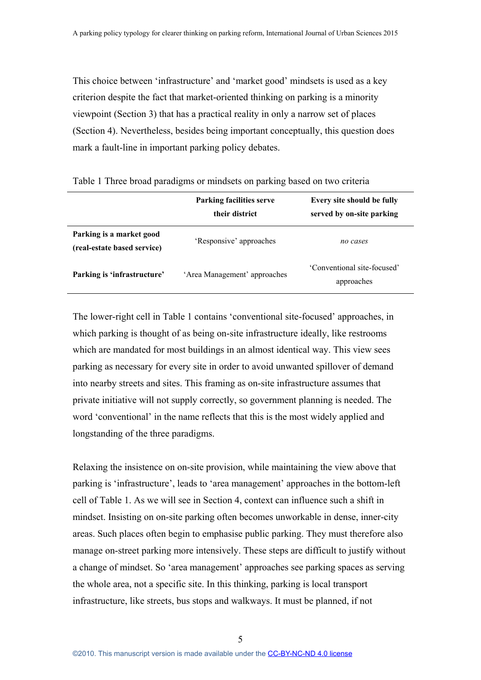This choice between 'infrastructure' and 'market good' mindsets is used as a key criterion despite the fact that market-oriented thinking on parking is a minority viewpoint (Section 3) that has a practical reality in only a narrow set of places (Section 4). Nevertheless, besides being important conceptually, this question does mark a fault-line in important parking policy debates.

|                                                         | <b>Parking facilities serve</b><br>their district | Every site should be fully<br>served by on-site parking |
|---------------------------------------------------------|---------------------------------------------------|---------------------------------------------------------|
| Parking is a market good<br>(real-estate based service) | 'Responsive' approaches                           | no cases                                                |
| Parking is 'infrastructure'                             | 'Area Management' approaches                      | 'Conventional site-focused'<br>approaches               |

Table 1 Three broad paradigms or mindsets on parking based on two criteria

The lower-right cell in Table 1 contains 'conventional site-focused' approaches, in which parking is thought of as being on-site infrastructure ideally, like restrooms which are mandated for most buildings in an almost identical way. This view sees parking as necessary for every site in order to avoid unwanted spillover of demand into nearby streets and sites. This framing as on-site infrastructure assumes that private initiative will not supply correctly, so government planning is needed. The word 'conventional' in the name reflects that this is the most widely applied and longstanding of the three paradigms.

Relaxing the insistence on on-site provision, while maintaining the view above that parking is 'infrastructure', leads to 'area management' approaches in the bottom-left cell of Table 1. As we will see in Section 4, context can influence such a shift in mindset. Insisting on on-site parking often becomes unworkable in dense, inner-city areas. Such places often begin to emphasise public parking. They must therefore also manage on-street parking more intensively. These steps are difficult to justify without a change of mindset. So 'area management' approaches see parking spaces as serving the whole area, not a specific site. In this thinking, parking is local transport infrastructure, like streets, bus stops and walkways. It must be planned, if not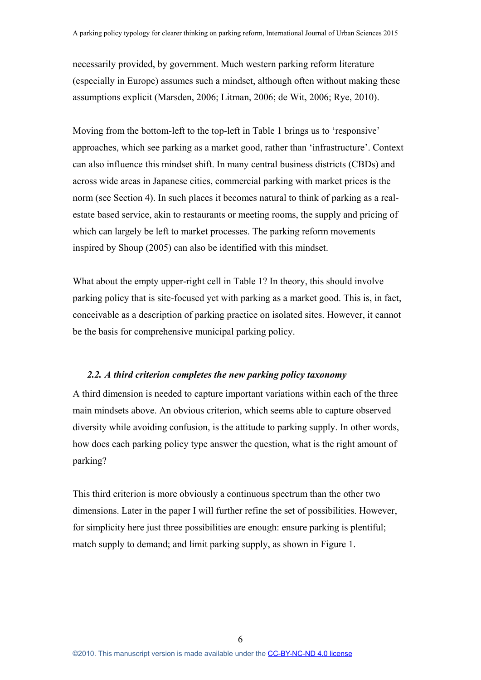necessarily provided, by government. Much western parking reform literature (especially in Europe) assumes such a mindset, although often without making these assumptions explicit (Marsden, 2006; Litman, 2006; de Wit, 2006; Rye, 2010).

Moving from the bottom-left to the top-left in Table 1 brings us to 'responsive' approaches, which see parking as a market good, rather than 'infrastructure'. Context can also influence this mindset shift. In many central business districts (CBDs) and across wide areas in Japanese cities, commercial parking with market prices is the norm (see Section 4). In such places it becomes natural to think of parking as a realestate based service, akin to restaurants or meeting rooms, the supply and pricing of which can largely be left to market processes. The parking reform movements inspired by Shoup (2005) can also be identified with this mindset.

What about the empty upper-right cell in Table 1? In theory, this should involve parking policy that is site-focused yet with parking as a market good. This is, in fact, conceivable as a description of parking practice on isolated sites. However, it cannot be the basis for comprehensive municipal parking policy.

### *2.2. A third criterion completes the new parking policy taxonomy*

A third dimension is needed to capture important variations within each of the three main mindsets above. An obvious criterion, which seems able to capture observed diversity while avoiding confusion, is the attitude to parking supply. In other words, how does each parking policy type answer the question, what is the right amount of parking?

This third criterion is more obviously a continuous spectrum than the other two dimensions. Later in the paper I will further refine the set of possibilities. However, for simplicity here just three possibilities are enough: ensure parking is plentiful; match supply to demand; and limit parking supply, as shown in Figure 1.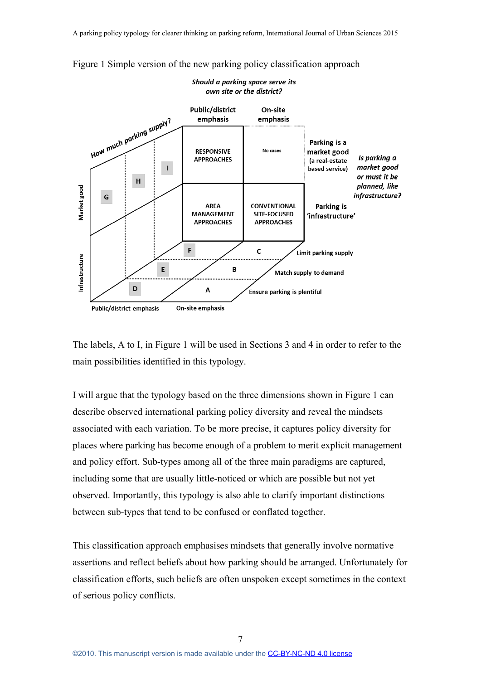



The labels, A to I, in Figure 1 will be used in Sections 3 and 4 in order to refer to the main possibilities identified in this typology.

I will argue that the typology based on the three dimensions shown in Figure 1 can describe observed international parking policy diversity and reveal the mindsets associated with each variation. To be more precise, it captures policy diversity for places where parking has become enough of a problem to merit explicit management and policy effort. Sub-types among all of the three main paradigms are captured, including some that are usually little-noticed or which are possible but not yet observed. Importantly, this typology is also able to clarify important distinctions between sub-types that tend to be confused or conflated together.

This classification approach emphasises mindsets that generally involve normative assertions and reflect beliefs about how parking should be arranged. Unfortunately for classification efforts, such beliefs are often unspoken except sometimes in the context of serious policy conflicts.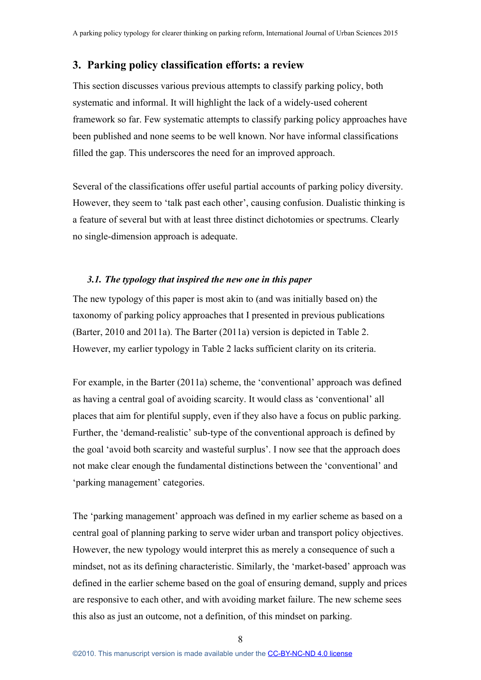# <span id="page-8-0"></span>**3. Parking policy classification efforts: a review**

This section discusses various previous attempts to classify parking policy, both systematic and informal. It will highlight the lack of a widely-used coherent framework so far. Few systematic attempts to classify parking policy approaches have been published and none seems to be well known. Nor have informal classifications filled the gap. This underscores the need for an improved approach.

Several of the classifications offer useful partial accounts of parking policy diversity. However, they seem to 'talk past each other', causing confusion. Dualistic thinking is a feature of several but with at least three distinct dichotomies or spectrums. Clearly no single-dimension approach is adequate.

# *3.1. The typology that inspired the new one in this paper*

The new typology of this paper is most akin to (and was initially based on) the taxonomy of parking policy approaches that I presented in previous publications (Barter, 2010 and 2011a). The Barter (2011a) version is depicted in Table 2. However, my earlier typology in Table 2 lacks sufficient clarity on its criteria.

For example, in the Barter (2011a) scheme, the 'conventional' approach was defined as having a central goal of avoiding scarcity. It would class as 'conventional' all places that aim for plentiful supply, even if they also have a focus on public parking. Further, the 'demand-realistic' sub-type of the conventional approach is defined by the goal 'avoid both scarcity and wasteful surplus'. I now see that the approach does not make clear enough the fundamental distinctions between the 'conventional' and 'parking management' categories.

The 'parking management' approach was defined in my earlier scheme as based on a central goal of planning parking to serve wider urban and transport policy objectives. However, the new typology would interpret this as merely a consequence of such a mindset, not as its defining characteristic. Similarly, the 'market-based' approach was defined in the earlier scheme based on the goal of ensuring demand, supply and prices are responsive to each other, and with avoiding market failure. The new scheme sees this also as just an outcome, not a definition, of this mindset on parking.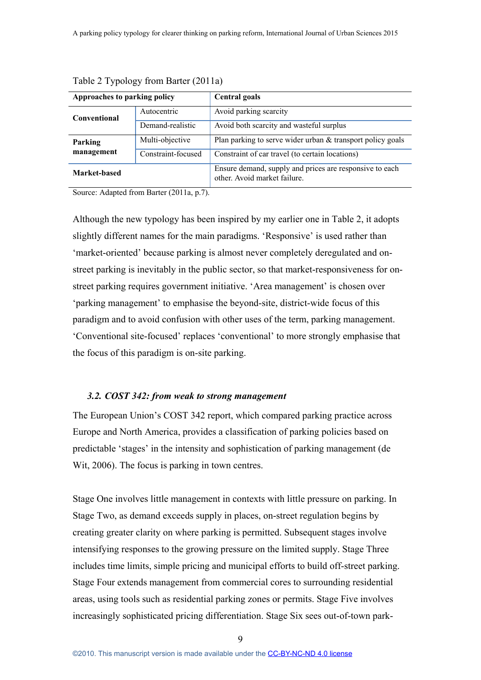| Approaches to parking policy |                    | <b>Central goals</b>                                                                    |  |
|------------------------------|--------------------|-----------------------------------------------------------------------------------------|--|
| <b>Conventional</b>          | Autocentric        | Avoid parking scarcity                                                                  |  |
|                              | Demand-realistic   | Avoid both scarcity and wasteful surplus                                                |  |
| Parking<br>management        | Multi-objective    | Plan parking to serve wider urban & transport policy goals                              |  |
|                              | Constraint-focused | Constraint of car travel (to certain locations)                                         |  |
| Market-based                 |                    | Ensure demand, supply and prices are responsive to each<br>other. Avoid market failure. |  |

Table 2 Typology from Barter (2011a)

Source: Adapted from Barter (2011a, p.7).

Although the new typology has been inspired by my earlier one in Table 2, it adopts slightly different names for the main paradigms. 'Responsive' is used rather than 'market-oriented' because parking is almost never completely deregulated and onstreet parking is inevitably in the public sector, so that market-responsiveness for onstreet parking requires government initiative. 'Area management' is chosen over 'parking management' to emphasise the beyond-site, district-wide focus of this paradigm and to avoid confusion with other uses of the term, parking management. 'Conventional site-focused' replaces 'conventional' to more strongly emphasise that the focus of this paradigm is on-site parking.

#### *3.2. COST 342: from weak to strong management*

The European Union's COST 342 report, which compared parking practice across Europe and North America, provides a classification of parking policies based on predictable 'stages' in the intensity and sophistication of parking management (de Wit, 2006). The focus is parking in town centres.

Stage One involves little management in contexts with little pressure on parking. In Stage Two, as demand exceeds supply in places, on-street regulation begins by creating greater clarity on where parking is permitted. Subsequent stages involve intensifying responses to the growing pressure on the limited supply. Stage Three includes time limits, simple pricing and municipal efforts to build off-street parking. Stage Four extends management from commercial cores to surrounding residential areas, using tools such as residential parking zones or permits. Stage Five involves increasingly sophisticated pricing differentiation. Stage Six sees out-of-town park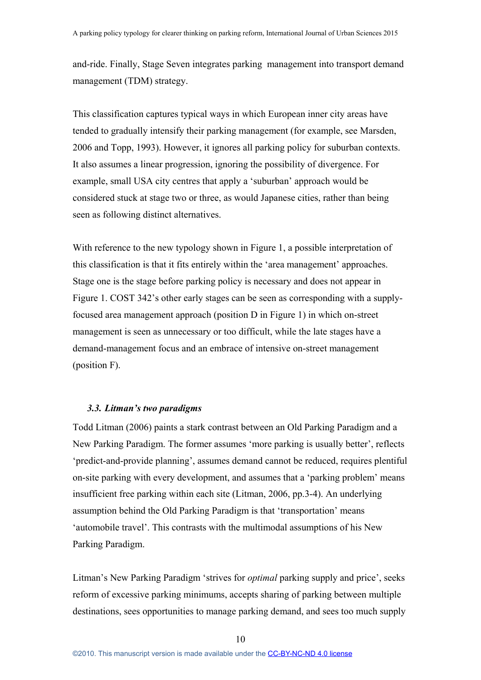and-ride. Finally, Stage Seven integrates parking management into transport demand management (TDM) strategy.

This classification captures typical ways in which European inner city areas have tended to gradually intensify their parking management (for example, see Marsden, 2006 and Topp, 1993). However, it ignores all parking policy for suburban contexts. It also assumes a linear progression, ignoring the possibility of divergence. For example, small USA city centres that apply a 'suburban' approach would be considered stuck at stage two or three, as would Japanese cities, rather than being seen as following distinct alternatives.

With reference to the new typology shown in Figure 1, a possible interpretation of this classification is that it fits entirely within the 'area management' approaches. Stage one is the stage before parking policy is necessary and does not appear in Figure 1. COST 342's other early stages can be seen as corresponding with a supplyfocused area management approach (position D in Figure 1) in which on-street management is seen as unnecessary or too difficult, while the late stages have a demand-management focus and an embrace of intensive on-street management (position F).

#### *3.3. Litman's two paradigms*

Todd Litman (2006) paints a stark contrast between an Old Parking Paradigm and a New Parking Paradigm. The former assumes 'more parking is usually better', reflects 'predict-and-provide planning', assumes demand cannot be reduced, requires plentiful on-site parking with every development, and assumes that a 'parking problem' means insufficient free parking within each site (Litman, 2006, pp.3-4). An underlying assumption behind the Old Parking Paradigm is that 'transportation' means 'automobile travel'. This contrasts with the multimodal assumptions of his New Parking Paradigm.

Litman's New Parking Paradigm 'strives for *optimal* parking supply and price', seeks reform of excessive parking minimums, accepts sharing of parking between multiple destinations, sees opportunities to manage parking demand, and sees too much supply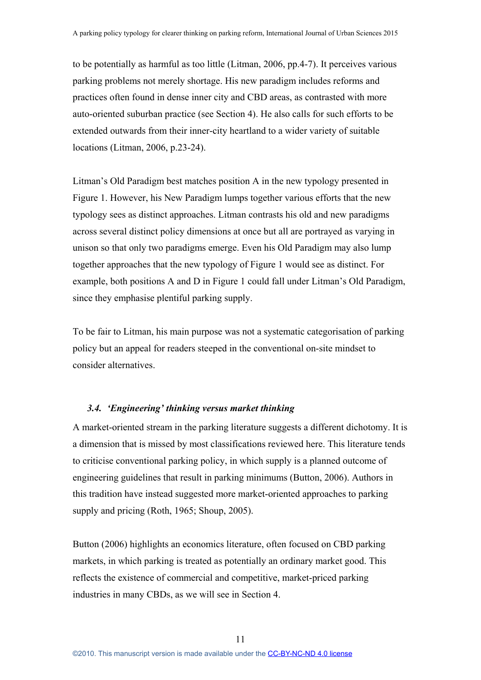to be potentially as harmful as too little (Litman, 2006, pp.4-7). It perceives various parking problems not merely shortage. His new paradigm includes reforms and practices often found in dense inner city and CBD areas, as contrasted with more auto-oriented suburban practice (see Section 4). He also calls for such efforts to be extended outwards from their inner-city heartland to a wider variety of suitable locations (Litman, 2006, p.23-24).

Litman's Old Paradigm best matches position A in the new typology presented in Figure 1. However, his New Paradigm lumps together various efforts that the new typology sees as distinct approaches. Litman contrasts his old and new paradigms across several distinct policy dimensions at once but all are portrayed as varying in unison so that only two paradigms emerge. Even his Old Paradigm may also lump together approaches that the new typology of Figure 1 would see as distinct. For example, both positions A and D in Figure 1 could fall under Litman's Old Paradigm, since they emphasise plentiful parking supply.

To be fair to Litman, his main purpose was not a systematic categorisation of parking policy but an appeal for readers steeped in the conventional on-site mindset to consider alternatives.

### *3.4. 'Engineering' thinking versus market thinking*

A market-oriented stream in the parking literature suggests a different dichotomy. It is a dimension that is missed by most classifications reviewed here. This literature tends to criticise conventional parking policy, in which supply is a planned outcome of engineering guidelines that result in parking minimums (Button, 2006). Authors in this tradition have instead suggested more market-oriented approaches to parking supply and pricing (Roth, 1965; Shoup, 2005).

Button (2006) highlights an economics literature, often focused on CBD parking markets, in which parking is treated as potentially an ordinary market good. This reflects the existence of commercial and competitive, market-priced parking industries in many CBDs, as we will see in Section 4.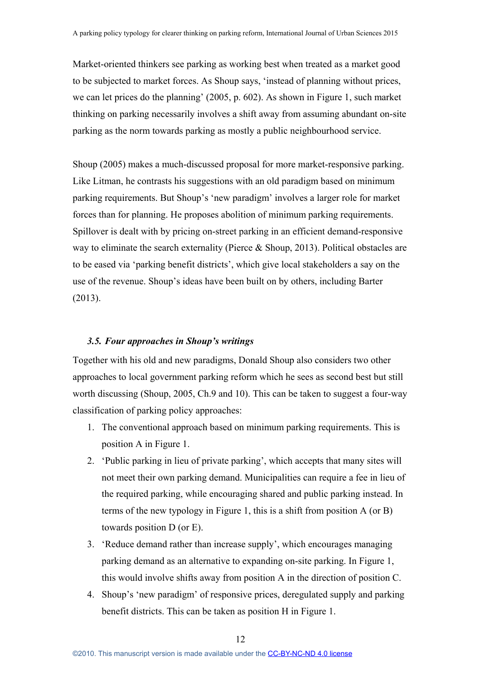Market-oriented thinkers see parking as working best when treated as a market good to be subjected to market forces. As Shoup says, 'instead of planning without prices, we can let prices do the planning' (2005, p. 602). As shown in Figure 1, such market thinking on parking necessarily involves a shift away from assuming abundant on-site parking as the norm towards parking as mostly a public neighbourhood service.

Shoup (2005) makes a much-discussed proposal for more market-responsive parking. Like Litman, he contrasts his suggestions with an old paradigm based on minimum parking requirements. But Shoup's 'new paradigm' involves a larger role for market forces than for planning. He proposes abolition of minimum parking requirements. Spillover is dealt with by pricing on-street parking in an efficient demand-responsive way to eliminate the search externality (Pierce & Shoup, 2013). Political obstacles are to be eased via 'parking benefit districts', which give local stakeholders a say on the use of the revenue. Shoup's ideas have been built on by others, including Barter (2013).

## *3.5. Four approaches in Shoup's writings*

Together with his old and new paradigms, Donald Shoup also considers two other approaches to local government parking reform which he sees as second best but still worth discussing (Shoup, 2005, Ch.9 and 10). This can be taken to suggest a four-way classification of parking policy approaches:

- 1. The conventional approach based on minimum parking requirements. This is position A in Figure 1.
- 2. 'Public parking in lieu of private parking', which accepts that many sites will not meet their own parking demand. Municipalities can require a fee in lieu of the required parking, while encouraging shared and public parking instead. In terms of the new typology in Figure 1, this is a shift from position A (or B) towards position D (or E).
- 3. 'Reduce demand rather than increase supply', which encourages managing parking demand as an alternative to expanding on-site parking. In Figure 1, this would involve shifts away from position A in the direction of position C.
- 4. Shoup's 'new paradigm' of responsive prices, deregulated supply and parking benefit districts. This can be taken as position H in Figure 1.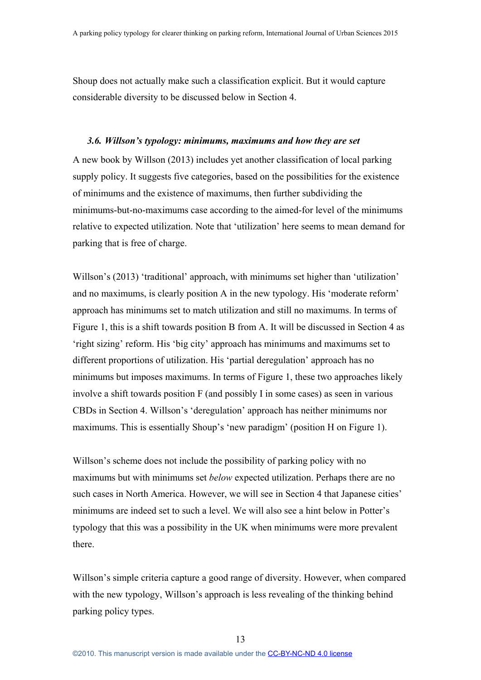Shoup does not actually make such a classification explicit. But it would capture considerable diversity to be discussed below in Section 4.

#### *3.6. Willson's typology: minimums, maximums and how they are set*

A new book by Willson (2013) includes yet another classification of local parking supply policy. It suggests five categories, based on the possibilities for the existence of minimums and the existence of maximums, then further subdividing the minimums-but-no-maximums case according to the aimed-for level of the minimums relative to expected utilization. Note that 'utilization' here seems to mean demand for parking that is free of charge.

Willson's (2013) 'traditional' approach, with minimums set higher than 'utilization' and no maximums, is clearly position A in the new typology. His 'moderate reform' approach has minimums set to match utilization and still no maximums. In terms of Figure 1, this is a shift towards position B from A. It will be discussed in Section 4 as 'right sizing' reform. His 'big city' approach has minimums and maximums set to different proportions of utilization. His 'partial deregulation' approach has no minimums but imposes maximums. In terms of Figure 1, these two approaches likely involve a shift towards position F (and possibly I in some cases) as seen in various CBDs in Section 4. Willson's 'deregulation' approach has neither minimums nor maximums. This is essentially Shoup's 'new paradigm' (position H on Figure 1).

Willson's scheme does not include the possibility of parking policy with no maximums but with minimums set *below* expected utilization. Perhaps there are no such cases in North America. However, we will see in Section 4 that Japanese cities' minimums are indeed set to such a level. We will also see a hint below in Potter's typology that this was a possibility in the UK when minimums were more prevalent there.

Willson's simple criteria capture a good range of diversity. However, when compared with the new typology, Willson's approach is less revealing of the thinking behind parking policy types.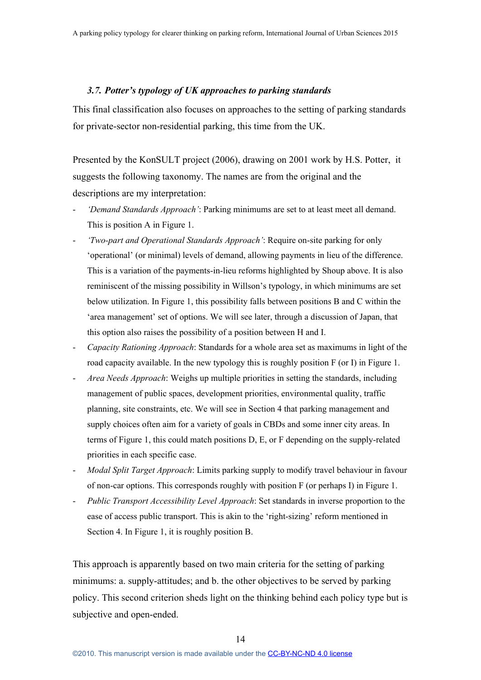#### *3.7. Potter's typology of UK approaches to parking standards*

This final classification also focuses on approaches to the setting of parking standards for private-sector non-residential parking, this time from the UK.

Presented by the KonSULT project (2006), drawing on 2001 work by H.S. Potter, it suggests the following taxonomy. The names are from the original and the descriptions are my interpretation:

- *'Demand Standards Approach'*: Parking minimums are set to at least meet all demand. This is position A in Figure 1.
- *'Two-part and Operational Standards Approach'*: Require on-site parking for only 'operational' (or minimal) levels of demand, allowing payments in lieu of the difference. This is a variation of the payments-in-lieu reforms highlighted by Shoup above. It is also reminiscent of the missing possibility in Willson's typology, in which minimums are set below utilization. In Figure 1, this possibility falls between positions B and C within the 'area management' set of options. We will see later, through a discussion of Japan, that this option also raises the possibility of a position between H and I.
- *Capacity Rationing Approach*: Standards for a whole area set as maximums in light of the road capacity available. In the new typology this is roughly position F (or I) in Figure 1.
- *Area Needs Approach*: Weighs up multiple priorities in setting the standards, including management of public spaces, development priorities, environmental quality, traffic planning, site constraints, etc. We will see in Section 4 that parking management and supply choices often aim for a variety of goals in CBDs and some inner city areas. In terms of Figure 1, this could match positions D, E, or F depending on the supply-related priorities in each specific case.
- *Modal Split Target Approach*: Limits parking supply to modify travel behaviour in favour of non-car options. This corresponds roughly with position F (or perhaps I) in Figure 1.
- *Public Transport Accessibility Level Approach*: Set standards in inverse proportion to the ease of access public transport. This is akin to the 'right-sizing' reform mentioned in Section 4. In Figure 1, it is roughly position B.

This approach is apparently based on two main criteria for the setting of parking minimums: a. supply-attitudes; and b. the other objectives to be served by parking policy. This second criterion sheds light on the thinking behind each policy type but is subjective and open-ended.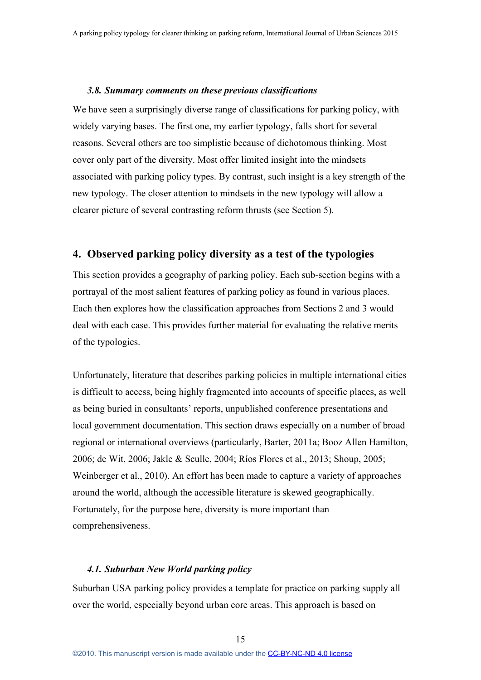#### *3.8. Summary comments on these previous classifications*

We have seen a surprisingly diverse range of classifications for parking policy, with widely varying bases. The first one, my earlier typology, falls short for several reasons. Several others are too simplistic because of dichotomous thinking. Most cover only part of the diversity. Most offer limited insight into the mindsets associated with parking policy types. By contrast, such insight is a key strength of the new typology. The closer attention to mindsets in the new typology will allow a clearer picture of several contrasting reform thrusts (see Section 5).

# **4. Observed parking policy diversity as a test of the typologies**

This section provides a geography of parking policy. Each sub-section begins with a portrayal of the most salient features of parking policy as found in various places. Each then explores how the classification approaches from Sections 2 and 3 would deal with each case. This provides further material for evaluating the relative merits of the typologies.

Unfortunately, literature that describes parking policies in multiple international cities is difficult to access, being highly fragmented into accounts of specific places, as well as being buried in consultants' reports, unpublished conference presentations and local government documentation. This section draws especially on a number of broad regional or international overviews (particularly, Barter, 2011a; Booz Allen Hamilton, 2006; de Wit, 2006; Jakle & Sculle, 2004; Ríos Flores et al., 2013; Shoup, 2005; Weinberger et al., 2010). An effort has been made to capture a variety of approaches around the world, although the accessible literature is skewed geographically. Fortunately, for the purpose here, diversity is more important than comprehensiveness.

# *4.1. Suburban New World parking policy*

Suburban USA parking policy provides a template for practice on parking supply all over the world, especially beyond urban core areas. This approach is based on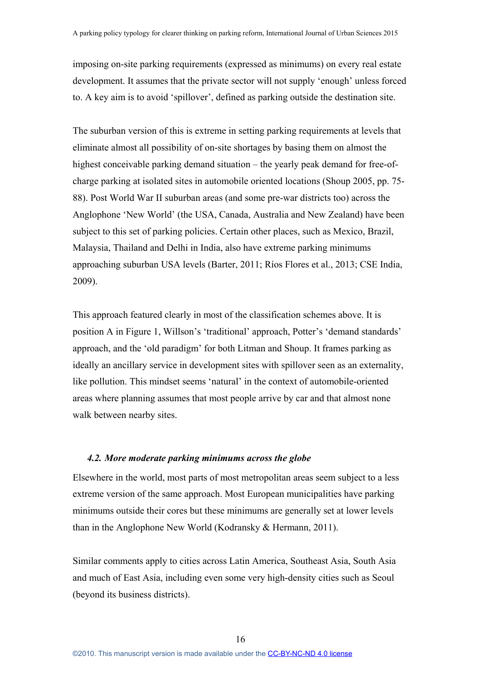imposing on-site parking requirements (expressed as minimums) on every real estate development. It assumes that the private sector will not supply 'enough' unless forced to. A key aim is to avoid 'spillover', defined as parking outside the destination site.

The suburban version of this is extreme in setting parking requirements at levels that eliminate almost all possibility of on-site shortages by basing them on almost the highest conceivable parking demand situation – the yearly peak demand for free-ofcharge parking at isolated sites in automobile oriented locations (Shoup 2005, pp. 75- 88). Post World War II suburban areas (and some pre-war districts too) across the Anglophone 'New World' (the USA, Canada, Australia and New Zealand) have been subject to this set of parking policies. Certain other places, such as Mexico, Brazil, Malaysia, Thailand and Delhi in India, also have extreme parking minimums approaching suburban USA levels (Barter, 2011; Ríos Flores et al., 2013; CSE India, 2009).

This approach featured clearly in most of the classification schemes above. It is position A in Figure 1, Willson's 'traditional' approach, Potter's 'demand standards' approach, and the 'old paradigm' for both Litman and Shoup. It frames parking as ideally an ancillary service in development sites with spillover seen as an externality, like pollution. This mindset seems 'natural' in the context of automobile-oriented areas where planning assumes that most people arrive by car and that almost none walk between nearby sites.

#### *4.2. More moderate parking minimums across the globe*

Elsewhere in the world, most parts of most metropolitan areas seem subject to a less extreme version of the same approach. Most European municipalities have parking minimums outside their cores but these minimums are generally set at lower levels than in the Anglophone New World (Kodransky & Hermann, 2011).

Similar comments apply to cities across Latin America, Southeast Asia, South Asia and much of East Asia, including even some very high-density cities such as Seoul (beyond its business districts).

16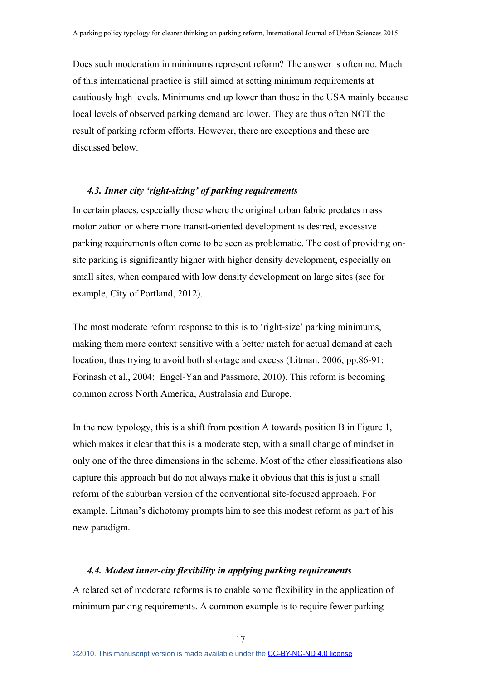Does such moderation in minimums represent reform? The answer is often no. Much of this international practice is still aimed at setting minimum requirements at cautiously high levels. Minimums end up lower than those in the USA mainly because local levels of observed parking demand are lower. They are thus often NOT the result of parking reform efforts. However, there are exceptions and these are discussed below.

# *4.3. Inner city 'right-sizing' of parking requirements*

In certain places, especially those where the original urban fabric predates mass motorization or where more transit-oriented development is desired, excessive parking requirements often come to be seen as problematic. The cost of providing onsite parking is significantly higher with higher density development, especially on small sites, when compared with low density development on large sites (see for example, City of Portland, 2012).

The most moderate reform response to this is to 'right-size' parking minimums, making them more context sensitive with a better match for actual demand at each location, thus trying to avoid both shortage and excess (Litman, 2006, pp.86-91; Forinash et al., 2004; Engel-Yan and Passmore, 2010). This reform is becoming common across North America, Australasia and Europe.

In the new typology, this is a shift from position A towards position B in Figure 1, which makes it clear that this is a moderate step, with a small change of mindset in only one of the three dimensions in the scheme. Most of the other classifications also capture this approach but do not always make it obvious that this is just a small reform of the suburban version of the conventional site-focused approach. For example, Litman's dichotomy prompts him to see this modest reform as part of his new paradigm.

#### *4.4. Modest inner-city flexibility in applying parking requirements*

A related set of moderate reforms is to enable some flexibility in the application of minimum parking requirements. A common example is to require fewer parking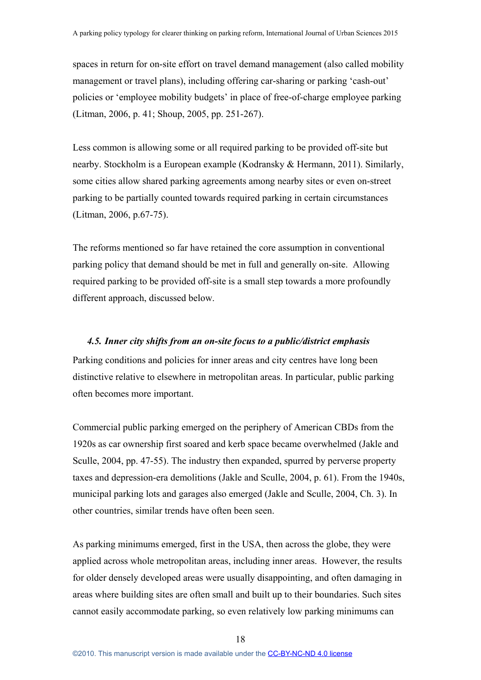spaces in return for on-site effort on travel demand management (also called mobility management or travel plans), including offering car-sharing or parking 'cash-out' policies or 'employee mobility budgets' in place of free-of-charge employee parking (Litman, 2006, p. 41; Shoup, 2005, pp. 251-267).

Less common is allowing some or all required parking to be provided off-site but nearby. Stockholm is a European example (Kodransky & Hermann, 2011). Similarly, some cities allow shared parking agreements among nearby sites or even on-street parking to be partially counted towards required parking in certain circumstances (Litman, 2006, p.67-75).

The reforms mentioned so far have retained the core assumption in conventional parking policy that demand should be met in full and generally on-site. Allowing required parking to be provided off-site is a small step towards a more profoundly different approach, discussed below.

## *4.5. Inner city shifts from an on-site focus to a public/district emphasis*

Parking conditions and policies for inner areas and city centres have long been distinctive relative to elsewhere in metropolitan areas. In particular, public parking often becomes more important.

Commercial public parking emerged on the periphery of American CBDs from the 1920s as car ownership first soared and kerb space became overwhelmed (Jakle and Sculle, 2004, pp. 47-55). The industry then expanded, spurred by perverse property taxes and depression-era demolitions (Jakle and Sculle, 2004, p. 61). From the 1940s, municipal parking lots and garages also emerged (Jakle and Sculle, 2004, Ch. 3). In other countries, similar trends have often been seen.

As parking minimums emerged, first in the USA, then across the globe, they were applied across whole metropolitan areas, including inner areas. However, the results for older densely developed areas were usually disappointing, and often damaging in areas where building sites are often small and built up to their boundaries. Such sites cannot easily accommodate parking, so even relatively low parking minimums can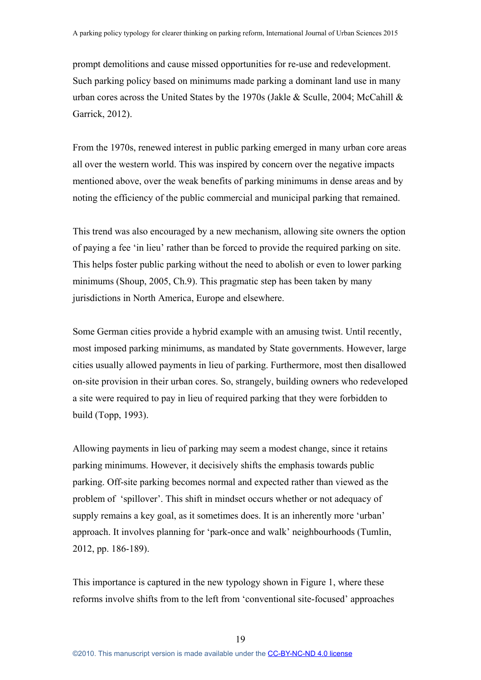prompt demolitions and cause missed opportunities for re-use and redevelopment. Such parking policy based on minimums made parking a dominant land use in many urban cores across the United States by the 1970s (Jakle & Sculle, 2004; McCahill & Garrick, 2012).

From the 1970s, renewed interest in public parking emerged in many urban core areas all over the western world. This was inspired by concern over the negative impacts mentioned above, over the weak benefits of parking minimums in dense areas and by noting the efficiency of the public commercial and municipal parking that remained.

This trend was also encouraged by a new mechanism, allowing site owners the option of paying a fee 'in lieu' rather than be forced to provide the required parking on site. This helps foster public parking without the need to abolish or even to lower parking minimums (Shoup, 2005, Ch.9). This pragmatic step has been taken by many jurisdictions in North America, Europe and elsewhere.

Some German cities provide a hybrid example with an amusing twist. Until recently, most imposed parking minimums, as mandated by State governments. However, large cities usually allowed payments in lieu of parking. Furthermore, most then disallowed on-site provision in their urban cores. So, strangely, building owners who redeveloped a site were required to pay in lieu of required parking that they were forbidden to build (Topp, 1993).

Allowing payments in lieu of parking may seem a modest change, since it retains parking minimums. However, it decisively shifts the emphasis towards public parking. Off-site parking becomes normal and expected rather than viewed as the problem of 'spillover'. This shift in mindset occurs whether or not adequacy of supply remains a key goal, as it sometimes does. It is an inherently more 'urban' approach. It involves planning for 'park-once and walk' neighbourhoods (Tumlin, 2012, pp. 186-189).

This importance is captured in the new typology shown in Figure 1, where these reforms involve shifts from to the left from 'conventional site-focused' approaches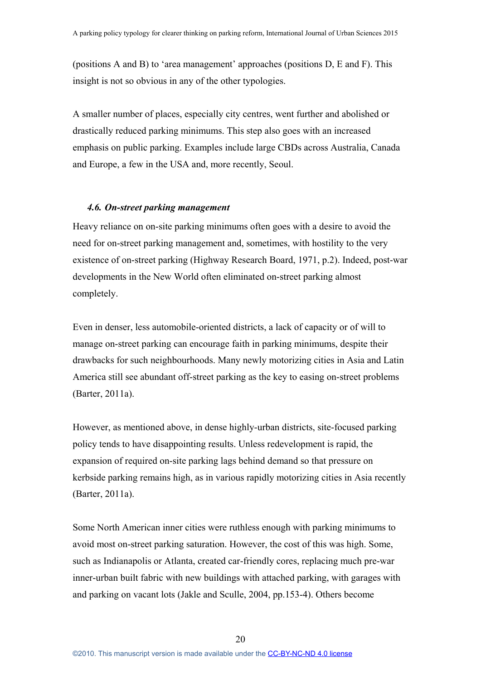(positions A and B) to 'area management' approaches (positions D, E and F). This insight is not so obvious in any of the other typologies.

A smaller number of places, especially city centres, went further and abolished or drastically reduced parking minimums. This step also goes with an increased emphasis on public parking. Examples include large CBDs across Australia, Canada and Europe, a few in the USA and, more recently, Seoul.

### *4.6. On-street parking management*

Heavy reliance on on-site parking minimums often goes with a desire to avoid the need for on-street parking management and, sometimes, with hostility to the very existence of on-street parking (Highway Research Board, 1971, p.2). Indeed, post-war developments in the New World often eliminated on-street parking almost completely.

Even in denser, less automobile-oriented districts, a lack of capacity or of will to manage on-street parking can encourage faith in parking minimums, despite their drawbacks for such neighbourhoods. Many newly motorizing cities in Asia and Latin America still see abundant off-street parking as the key to easing on-street problems (Barter, 2011a).

However, as mentioned above, in dense highly-urban districts, site-focused parking policy tends to have disappointing results. Unless redevelopment is rapid, the expansion of required on-site parking lags behind demand so that pressure on kerbside parking remains high, as in various rapidly motorizing cities in Asia recently (Barter, 2011a).

Some North American inner cities were ruthless enough with parking minimums to avoid most on-street parking saturation. However, the cost of this was high. Some, such as Indianapolis or Atlanta, created car-friendly cores, replacing much pre-war inner-urban built fabric with new buildings with attached parking, with garages with and parking on vacant lots (Jakle and Sculle, 2004, pp.153-4). Others become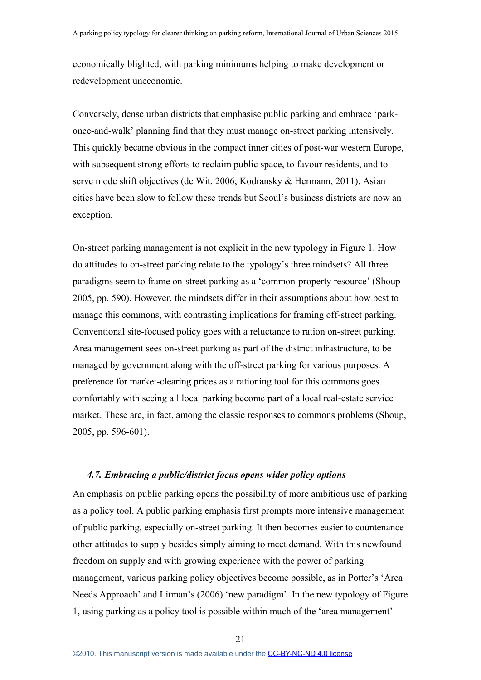economically blighted, with parking minimums helping to make development or redevelopment uneconomic.

Conversely, dense urban districts that emphasise public parking and embrace 'parkonce-and-walk' planning find that they must manage on-street parking intensively. This quickly became obvious in the compact inner cities of post-war western Europe, with subsequent strong efforts to reclaim public space, to favour residents, and to serve mode shift objectives (de Wit, 2006; Kodransky & Hermann, 2011). Asian cities have been slow to follow these trends but Seoul's business districts are now an exception.

On-street parking management is not explicit in the new typology in Figure 1. How do attitudes to on-street parking relate to the typology's three mindsets? All three paradigms seem to frame on-street parking as a 'common-property resource' (Shoup 2005, pp. 590). However, the mindsets differ in their assumptions about how best to manage this commons, with contrasting implications for framing off-street parking. Conventional site-focused policy goes with a reluctance to ration on-street parking. Area management sees on-street parking as part of the district infrastructure, to be managed by government along with the off-street parking for various purposes. A preference for market-clearing prices as a rationing tool for this commons goes comfortably with seeing all local parking become part of a local real-estate service market. These are, in fact, among the classic responses to commons problems (Shoup, 2005, pp. 596-601).

## *4.7. Embracing a public/district focus opens wider policy options*

An emphasis on public parking opens the possibility of more ambitious use of parking as a policy tool. A public parking emphasis first prompts more intensive management of public parking, especially on-street parking. It then becomes easier to countenance other attitudes to supply besides simply aiming to meet demand. With this newfound freedom on supply and with growing experience with the power of parking management, various parking policy objectives become possible, as in Potter's 'Area Needs Approach' and Litman's (2006) 'new paradigm'. In the new typology of Figure 1, using parking as a policy tool is possible within much of the 'area management'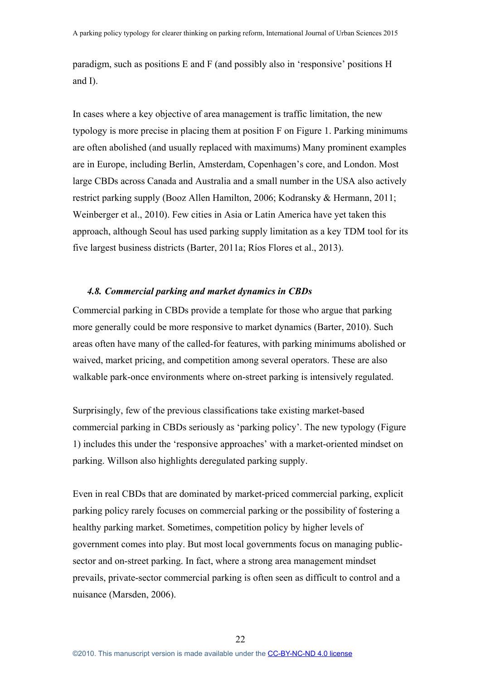paradigm, such as positions E and F (and possibly also in 'responsive' positions H and I).

In cases where a key objective of area management is traffic limitation, the new typology is more precise in placing them at position F on Figure 1. Parking minimums are often abolished (and usually replaced with maximums) Many prominent examples are in Europe, including Berlin, Amsterdam, Copenhagen's core, and London. Most large CBDs across Canada and Australia and a small number in the USA also actively restrict parking supply (Booz Allen Hamilton, 2006; Kodransky & Hermann, 2011; Weinberger et al., 2010). Few cities in Asia or Latin America have yet taken this approach, although Seoul has used parking supply limitation as a key TDM tool for its five largest business districts (Barter, 2011a; Ríos Flores et al., 2013).

# *4.8. Commercial parking and market dynamics in CBDs*

Commercial parking in CBDs provide a template for those who argue that parking more generally could be more responsive to market dynamics (Barter, 2010). Such areas often have many of the called-for features, with parking minimums abolished or waived, market pricing, and competition among several operators. These are also walkable park-once environments where on-street parking is intensively regulated.

Surprisingly, few of the previous classifications take existing market-based commercial parking in CBDs seriously as 'parking policy'. The new typology (Figure 1) includes this under the 'responsive approaches' with a market-oriented mindset on parking. Willson also highlights deregulated parking supply.

Even in real CBDs that are dominated by market-priced commercial parking, explicit parking policy rarely focuses on commercial parking or the possibility of fostering a healthy parking market. Sometimes, competition policy by higher levels of government comes into play. But most local governments focus on managing publicsector and on-street parking. In fact, where a strong area management mindset prevails, private-sector commercial parking is often seen as difficult to control and a nuisance (Marsden, 2006).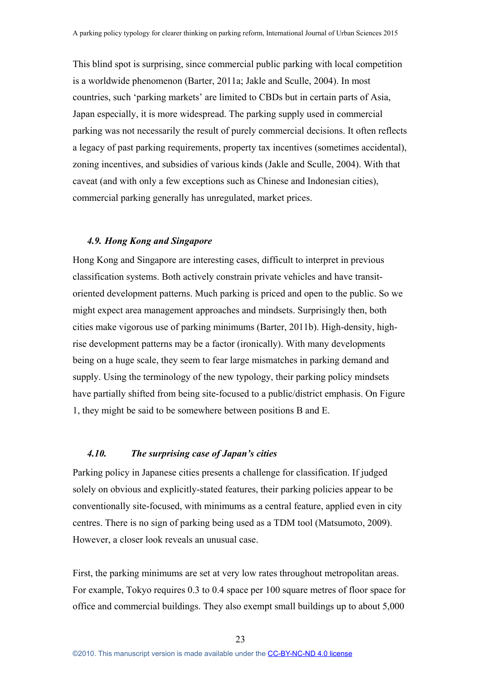This blind spot is surprising, since commercial public parking with local competition is a worldwide phenomenon (Barter, 2011a; Jakle and Sculle, 2004). In most countries, such 'parking markets' are limited to CBDs but in certain parts of Asia, Japan especially, it is more widespread. The parking supply used in commercial parking was not necessarily the result of purely commercial decisions. It often reflects a legacy of past parking requirements, property tax incentives (sometimes accidental), zoning incentives, and subsidies of various kinds (Jakle and Sculle, 2004). With that caveat (and with only a few exceptions such as Chinese and Indonesian cities), commercial parking generally has unregulated, market prices.

## *4.9. Hong Kong and Singapore*

Hong Kong and Singapore are interesting cases, difficult to interpret in previous classification systems. Both actively constrain private vehicles and have transitoriented development patterns. Much parking is priced and open to the public. So we might expect area management approaches and mindsets. Surprisingly then, both cities make vigorous use of parking minimums (Barter, 2011b). High-density, highrise development patterns may be a factor (ironically). With many developments being on a huge scale, they seem to fear large mismatches in parking demand and supply. Using the terminology of the new typology, their parking policy mindsets have partially shifted from being site-focused to a public/district emphasis. On Figure 1, they might be said to be somewhere between positions B and E.

# *4.10. The surprising case of Japan's cities*

Parking policy in Japanese cities presents a challenge for classification. If judged solely on obvious and explicitly-stated features, their parking policies appear to be conventionally site-focused, with minimums as a central feature, applied even in city centres. There is no sign of parking being used as a TDM tool (Matsumoto, 2009). However, a closer look reveals an unusual case.

First, the parking minimums are set at very low rates throughout metropolitan areas. For example, Tokyo requires 0.3 to 0.4 space per 100 square metres of floor space for office and commercial buildings. They also exempt small buildings up to about 5,000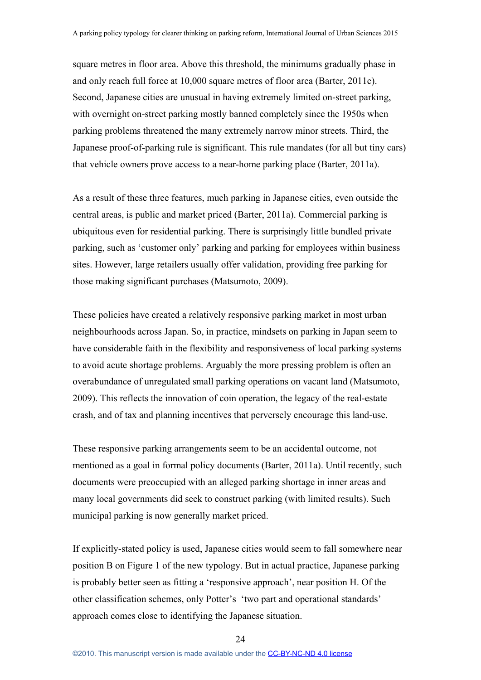square metres in floor area. Above this threshold, the minimums gradually phase in and only reach full force at 10,000 square metres of floor area (Barter, 2011c). Second, Japanese cities are unusual in having extremely limited on-street parking, with overnight on-street parking mostly banned completely since the 1950s when parking problems threatened the many extremely narrow minor streets. Third, the Japanese proof-of-parking rule is significant. This rule mandates (for all but tiny cars) that vehicle owners prove access to a near-home parking place (Barter, 2011a).

As a result of these three features, much parking in Japanese cities, even outside the central areas, is public and market priced (Barter, 2011a). Commercial parking is ubiquitous even for residential parking. There is surprisingly little bundled private parking, such as 'customer only' parking and parking for employees within business sites. However, large retailers usually offer validation, providing free parking for those making significant purchases (Matsumoto, 2009).

These policies have created a relatively responsive parking market in most urban neighbourhoods across Japan. So, in practice, mindsets on parking in Japan seem to have considerable faith in the flexibility and responsiveness of local parking systems to avoid acute shortage problems. Arguably the more pressing problem is often an overabundance of unregulated small parking operations on vacant land (Matsumoto, 2009). This reflects the innovation of coin operation, the legacy of the real-estate crash, and of tax and planning incentives that perversely encourage this land-use.

These responsive parking arrangements seem to be an accidental outcome, not mentioned as a goal in formal policy documents (Barter, 2011a). Until recently, such documents were preoccupied with an alleged parking shortage in inner areas and many local governments did seek to construct parking (with limited results). Such municipal parking is now generally market priced.

If explicitly-stated policy is used, Japanese cities would seem to fall somewhere near position B on Figure 1 of the new typology. But in actual practice, Japanese parking is probably better seen as fitting a 'responsive approach', near position H. Of the other classification schemes, only Potter's 'two part and operational standards' approach comes close to identifying the Japanese situation.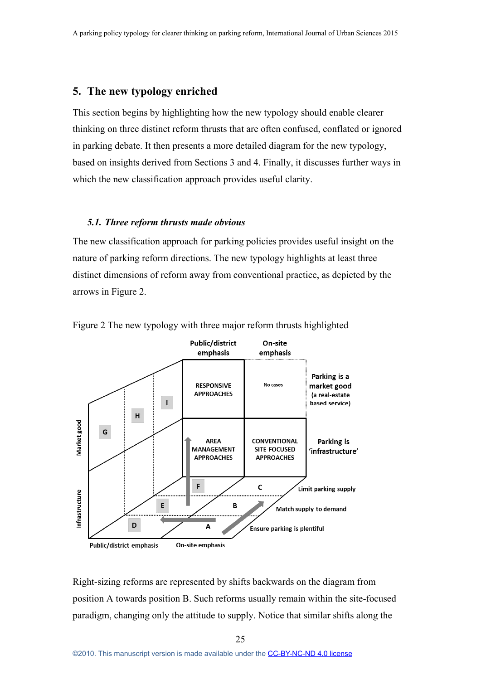# **5. The new typology enriched**

This section begins by highlighting how the new typology should enable clearer thinking on three distinct reform thrusts that are often confused, conflated or ignored in parking debate. It then presents a more detailed diagram for the new typology, based on insights derived from Sections 3 and 4. Finally, it discusses further ways in which the new classification approach provides useful clarity.

### *5.1. Three reform thrusts made obvious*

The new classification approach for parking policies provides useful insight on the nature of parking reform directions. The new typology highlights at least three distinct dimensions of reform away from conventional practice, as depicted by the arrows in Figure 2.



Figure 2 The new typology with three major reform thrusts highlighted

Right-sizing reforms are represented by shifts backwards on the diagram from position A towards position B. Such reforms usually remain within the site-focused paradigm, changing only the attitude to supply. Notice that similar shifts along the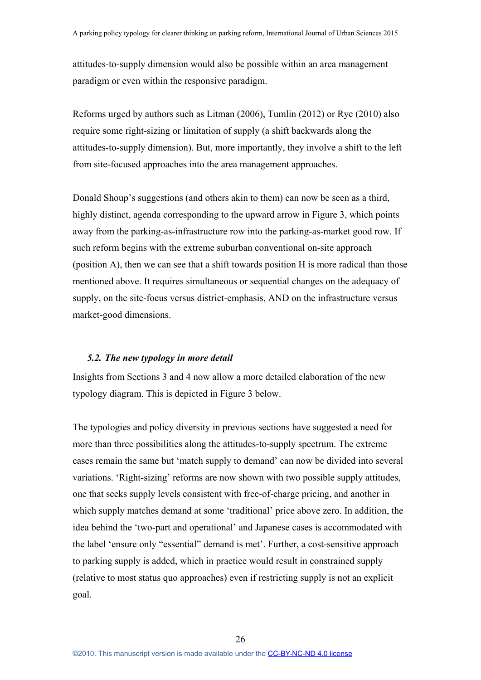attitudes-to-supply dimension would also be possible within an area management paradigm or even within the responsive paradigm.

Reforms urged by authors such as Litman (2006), Tumlin (2012) or Rye (2010) also require some right-sizing or limitation of supply (a shift backwards along the attitudes-to-supply dimension). But, more importantly, they involve a shift to the left from site-focused approaches into the area management approaches.

Donald Shoup's suggestions (and others akin to them) can now be seen as a third, highly distinct, agenda corresponding to the upward arrow in Figure 3, which points away from the parking-as-infrastructure row into the parking-as-market good row. If such reform begins with the extreme suburban conventional on-site approach (position A), then we can see that a shift towards position H is more radical than those mentioned above. It requires simultaneous or sequential changes on the adequacy of supply, on the site-focus versus district-emphasis, AND on the infrastructure versus market-good dimensions.

# *5.2. The new typology in more detail*

Insights from Sections 3 and 4 now allow a more detailed elaboration of the new typology diagram. This is depicted in Figure 3 below.

The typologies and policy diversity in previous sections have suggested a need for more than three possibilities along the attitudes-to-supply spectrum. The extreme cases remain the same but 'match supply to demand' can now be divided into several variations. 'Right-sizing' reforms are now shown with two possible supply attitudes, one that seeks supply levels consistent with free-of-charge pricing, and another in which supply matches demand at some 'traditional' price above zero. In addition, the idea behind the 'two-part and operational' and Japanese cases is accommodated with the label 'ensure only "essential" demand is met'. Further, a cost-sensitive approach to parking supply is added, which in practice would result in constrained supply (relative to most status quo approaches) even if restricting supply is not an explicit goal.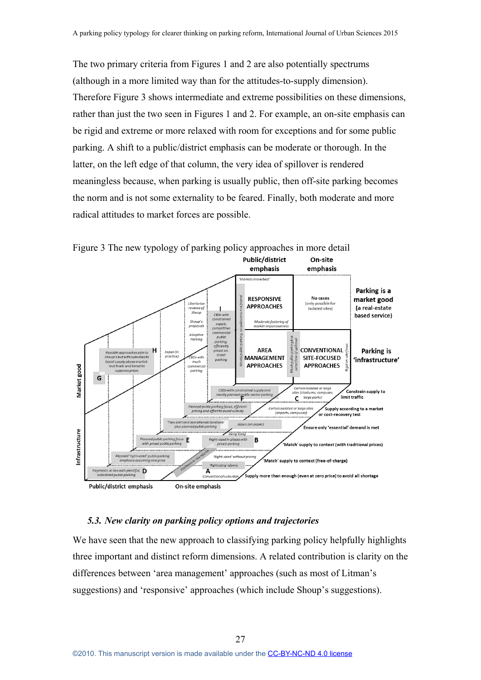The two primary criteria from Figures 1 and 2 are also potentially spectrums (although in a more limited way than for the attitudes-to-supply dimension). Therefore Figure 3 shows intermediate and extreme possibilities on these dimensions, rather than just the two seen in Figures 1 and 2. For example, an on-site emphasis can be rigid and extreme or more relaxed with room for exceptions and for some public parking. A shift to a public/district emphasis can be moderate or thorough. In the latter, on the left edge of that column, the very idea of spillover is rendered meaningless because, when parking is usually public, then off-site parking becomes the norm and is not some externality to be feared. Finally, both moderate and more radical attitudes to market forces are possible.



Figure 3 The new typology of parking policy approaches in more detail

## *5.3. New clarity on parking policy options and trajectories*

We have seen that the new approach to classifying parking policy helpfully highlights three important and distinct reform dimensions. A related contribution is clarity on the differences between 'area management' approaches (such as most of Litman's suggestions) and 'responsive' approaches (which include Shoup's suggestions).

27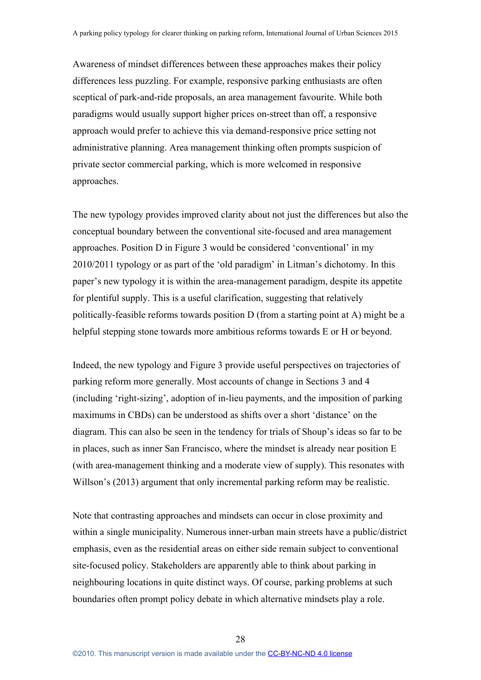Awareness of mindset differences between these approaches makes their policy differences less puzzling. For example, responsive parking enthusiasts are often sceptical of park-and-ride proposals, an area management favourite. While both paradigms would usually support higher prices on-street than off, a responsive approach would prefer to achieve this via demand-responsive price setting not administrative planning. Area management thinking often prompts suspicion of private sector commercial parking, which is more welcomed in responsive approaches.

The new typology provides improved clarity about not just the differences but also the conceptual boundary between the conventional site-focused and area management approaches. Position D in Figure 3 would be considered 'conventional' in my 2010/2011 typology or as part of the 'old paradigm' in Litman's dichotomy. In this paper's new typology it is within the area-management paradigm, despite its appetite for plentiful supply. This is a useful clarification, suggesting that relatively politically-feasible reforms towards position D (from a starting point at A) might be a helpful stepping stone towards more ambitious reforms towards E or H or beyond.

Indeed, the new typology and Figure 3 provide useful perspectives on trajectories of parking reform more generally. Most accounts of change in Sections 3 and 4 (including 'right-sizing', adoption of in-lieu payments, and the imposition of parking maximums in CBDs) can be understood as shifts over a short 'distance' on the diagram. This can also be seen in the tendency for trials of Shoup's ideas so far to be in places, such as inner San Francisco, where the mindset is already near position E (with area-management thinking and a moderate view of supply). This resonates with Willson's (2013) argument that only incremental parking reform may be realistic.

Note that contrasting approaches and mindsets can occur in close proximity and within a single municipality. Numerous inner-urban main streets have a public/district emphasis, even as the residential areas on either side remain subject to conventional site-focused policy. Stakeholders are apparently able to think about parking in neighbouring locations in quite distinct ways. Of course, parking problems at such boundaries often prompt policy debate in which alternative mindsets play a role.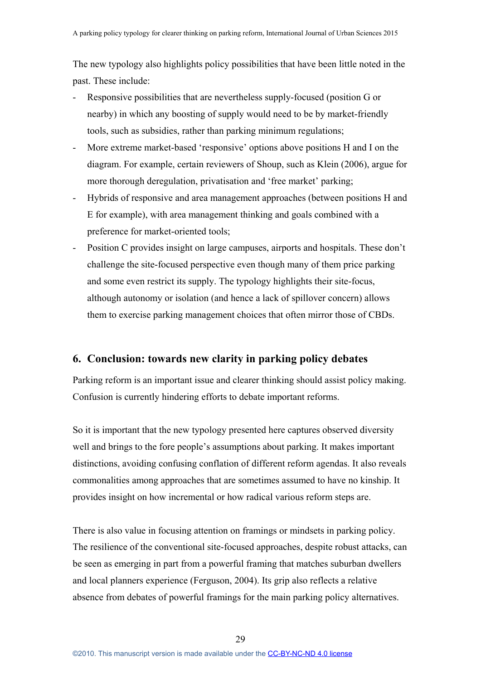The new typology also highlights policy possibilities that have been little noted in the past. These include:

- Responsive possibilities that are nevertheless supply-focused (position G or nearby) in which any boosting of supply would need to be by market-friendly tools, such as subsidies, rather than parking minimum regulations;
- More extreme market-based 'responsive' options above positions H and I on the diagram. For example, certain reviewers of Shoup, such as Klein (2006), argue for more thorough deregulation, privatisation and 'free market' parking;
- Hybrids of responsive and area management approaches (between positions H and E for example), with area management thinking and goals combined with a preference for market-oriented tools;
- Position C provides insight on large campuses, airports and hospitals. These don't challenge the site-focused perspective even though many of them price parking and some even restrict its supply. The typology highlights their site-focus, although autonomy or isolation (and hence a lack of spillover concern) allows them to exercise parking management choices that often mirror those of CBDs.

# **6. Conclusion: towards new clarity in parking policy debates**

Parking reform is an important issue and clearer thinking should assist policy making. Confusion is currently hindering efforts to debate important reforms.

So it is important that the new typology presented here captures observed diversity well and brings to the fore people's assumptions about parking. It makes important distinctions, avoiding confusing conflation of different reform agendas. It also reveals commonalities among approaches that are sometimes assumed to have no kinship. It provides insight on how incremental or how radical various reform steps are.

There is also value in focusing attention on framings or mindsets in parking policy. The resilience of the conventional site-focused approaches, despite robust attacks, can be seen as emerging in part from a powerful framing that matches suburban dwellers and local planners experience (Ferguson, 2004). Its grip also reflects a relative absence from debates of powerful framings for the main parking policy alternatives.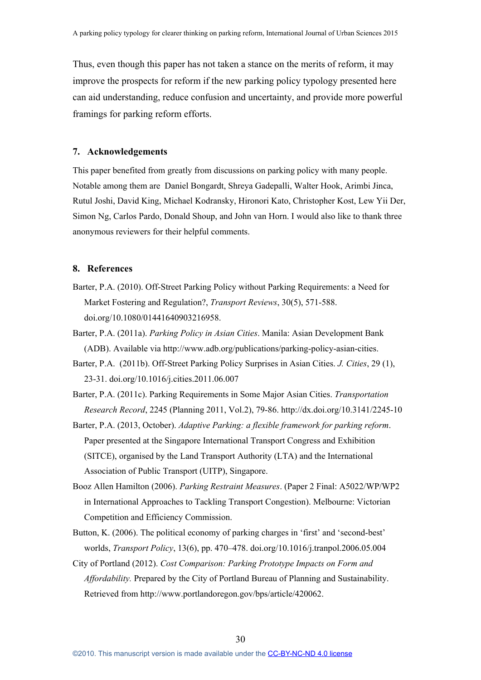Thus, even though this paper has not taken a stance on the merits of reform, it may improve the prospects for reform if the new parking policy typology presented here can aid understanding, reduce confusion and uncertainty, and provide more powerful framings for parking reform efforts.

#### **7. Acknowledgements**

This paper benefited from greatly from discussions on parking policy with many people. Notable among them are Daniel Bongardt, Shreya Gadepalli, Walter Hook, Arimbi Jinca, Rutul Joshi, David King, Michael Kodransky, Hironori Kato, Christopher Kost, Lew Yii Der, Simon Ng, Carlos Pardo, Donald Shoup, and John van Horn. I would also like to thank three anonymous reviewers for their helpful comments.

## **8. References**

- Barter, P.A. (2010). Off-Street Parking Policy without Parking Requirements: a Need for Market Fostering and Regulation?, *Transport Reviews*, 30(5), 571-588. doi.org/10.1080/01441640903216958.
- Barter, P.A. (2011a). *Parking Policy in Asian Cities*. Manila: Asian Development Bank (ADB). Available via http://www.adb.org/publications/parking-policy-asian-cities.
- Barter, P.A. (2011b). Off-Street Parking Policy Surprises in Asian Cities. *J. Cities*, 29 (1), 23-31. doi.org/10.1016/j.cities.2011.06.007
- Barter, P.A. (2011c). Parking Requirements in Some Major Asian Cities. *Transportation Research Record*, 2245 (Planning 2011, Vol.2), 79-86. http://dx.doi.org/10.3141/2245-10
- Barter, P.A. (2013, October). *Adaptive Parking: a flexible framework for parking reform*. Paper presented at the Singapore International Transport Congress and Exhibition (SITCE), organised by the Land Transport Authority (LTA) and the International Association of Public Transport (UITP), Singapore.
- Booz Allen Hamilton (2006). *Parking Restraint Measures*. (Paper 2 Final: A5022/WP/WP2 in International Approaches to Tackling Transport Congestion). Melbourne: Victorian Competition and Efficiency Commission.
- Button, K. (2006). The political economy of parking charges in 'first' and 'second-best' worlds, *Transport Policy*, 13(6), pp. 470–478. doi.org/10.1016/j.tranpol.2006.05.004
- City of Portland (2012). *Cost Comparison: Parking Prototype Impacts on Form and Affordability.* Prepared by the City of Portland Bureau of Planning and Sustainability. Retrieved from http://www.portlandoregon.gov/bps/article/420062.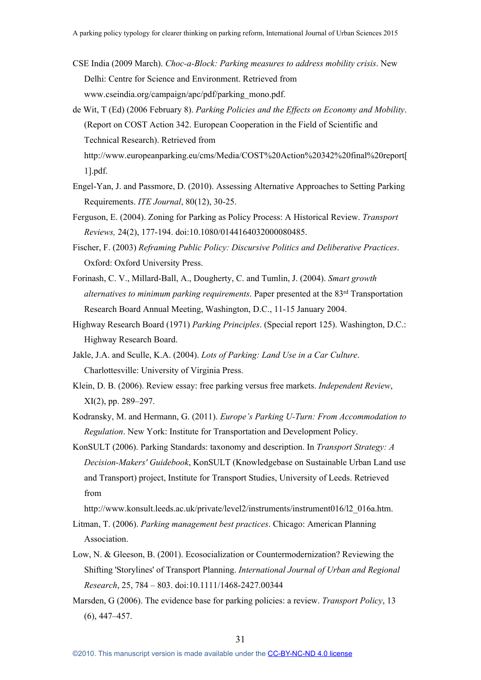- CSE India (2009 March). *Choc-a-Block: Parking measures to address mobility crisis*. New Delhi: Centre for Science and Environment. Retrieved from www.cseindia.org/campaign/apc/pdf/parking\_mono.pdf.
- de Wit, T (Ed) (2006 February 8). *Parking Policies and the Effects on Economy and Mobility*. (Report on COST Action 342. European Cooperation in the Field of Scientific and Technical Research). Retrieved from

http://www.europeanparking.eu/cms/Media/COST%20Action%20342%20final%20report[ 1].pdf.

- Engel-Yan, J. and Passmore, D. (2010). Assessing Alternative Approaches to Setting Parking Requirements. *ITE Journal*, 80(12), 30-25.
- Ferguson, E. (2004). Zoning for Parking as Policy Process: A Historical Review. *Transport Reviews,* 24(2), 177-194. doi:10.1080/0144164032000080485.
- Fischer, F. (2003) *Reframing Public Policy: Discursive Politics and Deliberative Practices*. Oxford: Oxford University Press.
- Forinash, C. V., Millard-Ball, A., Dougherty, C. and Tumlin, J. (2004). *Smart growth alternatives to minimum parking requirements*. Paper presented at the 83 rd Transportation Research Board Annual Meeting, Washington, D.C., 11-15 January 2004.
- Highway Research Board (1971) *Parking Principles*. (Special report 125). Washington, D.C.: Highway Research Board.
- Jakle, J.A. and Sculle, K.A. (2004). *Lots of Parking: Land Use in a Car Culture*. Charlottesville: University of Virginia Press.
- Klein, D. B. (2006). Review essay: free parking versus free markets. *Independent Review*, XI(2), pp. 289–297.
- Kodransky, M. and Hermann, G. (2011). *Europe's Parking U-Turn: From Accommodation to Regulation*. New York: Institute for Transportation and Development Policy.
- KonSULT (2006). Parking Standards: taxonomy and description. In *Transport Strategy: A Decision-Makers' Guidebook*, KonSULT (Knowledgebase on Sustainable Urban Land use and Transport) project, Institute for Transport Studies, University of Leeds. Retrieved from

http://www.konsult.leeds.ac.uk/private/level2/instruments/instrument016/l2\_016a.htm.

- Litman, T. (2006). *Parking management best practices*. Chicago: American Planning Association.
- Low, N. & Gleeson, B. (2001). Ecosocialization or Countermodernization? Reviewing the Shifting 'Storylines' of Transport Planning. *International Journal of Urban and Regional Research*, 25, 784 – 803. doi:10.1111/1468-2427.00344
- Marsden, G (2006). The evidence base for parking policies: a review. *Transport Policy*, 13 (6), 447–457.